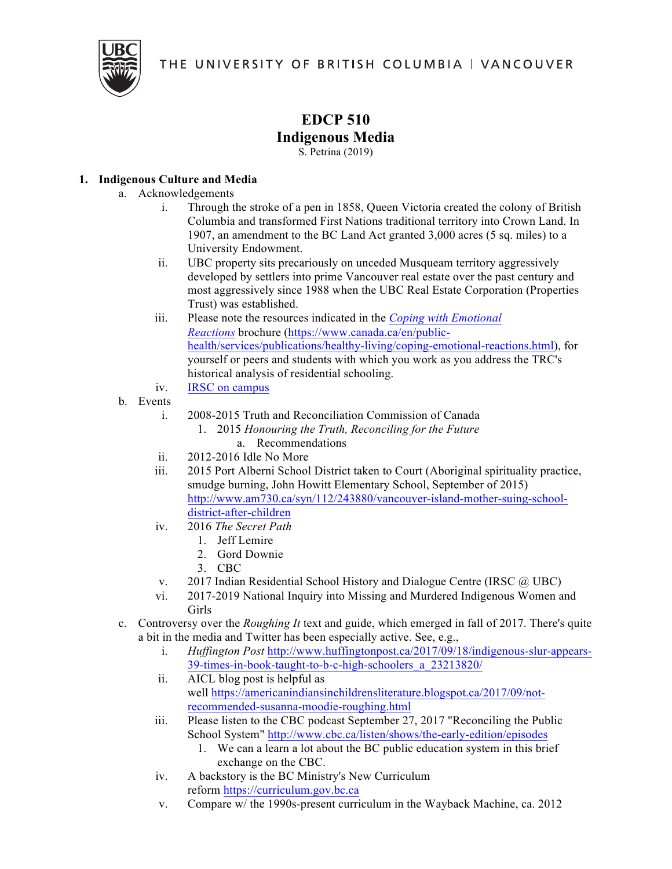THE UNIVERSITY OF BRITISH COLUMBIA I VANCOUVER



## **EDCP 510 Indigenous Media**

S. Petrina (2019)

## **1. Indigenous Culture and Media**

- a. Acknowledgements
	- i. Through the stroke of a pen in 1858, Queen Victoria created the colony of British Columbia and transformed First Nations traditional territory into Crown Land. In 1907, an amendment to the BC Land Act granted 3,000 acres (5 sq. miles) to a University Endowment.
	- ii. UBC property sits precariously on unceded Musqueam territory aggressively developed by settlers into prime Vancouver real estate over the past century and most aggressively since 1988 when the UBC Real Estate Corporation (Properties Trust) was established.
	- iii. Please note the resources indicated in the *Coping with Emotional Reactions* brochure (https://www.canada.ca/en/publichealth/services/publications/healthy-living/coping-emotional-reactions.html), for yourself or peers and students with which you work as you address the TRC's historical analysis of residential schooling.
	- iv. IRSC on campus
- b. Events
	- i. 2008-2015 Truth and Reconciliation Commission of Canada
		- 1. 2015 *Honouring the Truth, Reconciling for the Future*
			- a. Recommendations
	- ii. 2012-2016 Idle No More
	- iii. 2015 Port Alberni School District taken to Court (Aboriginal spirituality practice, smudge burning, John Howitt Elementary School, September of 2015) http://www.am730.ca/syn/112/243880/vancouver-island-mother-suing-schooldistrict-after-children
	- iv. 2016 *The Secret Path*
		- 1. Jeff Lemire
		- 2. Gord Downie
		- 3. CBC
	- v.  $2017$  Indian Residential School History and Dialogue Centre (IRSC  $\omega$  UBC)
	- vi. 2017-2019 National Inquiry into Missing and Murdered Indigenous Women and Girls
- c. Controversy over the *Roughing It* text and guide, which emerged in fall of 2017. There's quite a bit in the media and Twitter has been especially active. See, e.g.,
	- i. *Huffington Post* http://www.huffingtonpost.ca/2017/09/18/indigenous-slur-appears-39-times-in-book-taught-to-b-c-high-schoolers\_a\_23213820/
	- ii. AICL blog post is helpful as well https://americanindiansinchildrensliterature.blogspot.ca/2017/09/notrecommended-susanna-moodie-roughing.html
	- iii. Please listen to the CBC podcast September 27, 2017 "Reconciling the Public School System" http://www.cbc.ca/listen/shows/the-early-edition/episodes
		- 1. We can a learn a lot about the BC public education system in this brief exchange on the CBC.
	- iv. A backstory is the BC Ministry's New Curriculum reform https://curriculum.gov.bc.ca
	- v. Compare w/ the 1990s-present curriculum in the Wayback Machine, ca. 2012